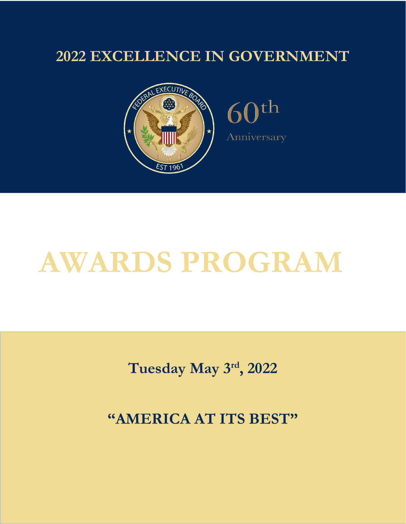# **2022 EXCELLENCE IN GOVERNMENT**



# **AWARDS PROGRAM**

**Tuesday May 3 rd, 2022**

**"AMERICA AT ITS BEST"**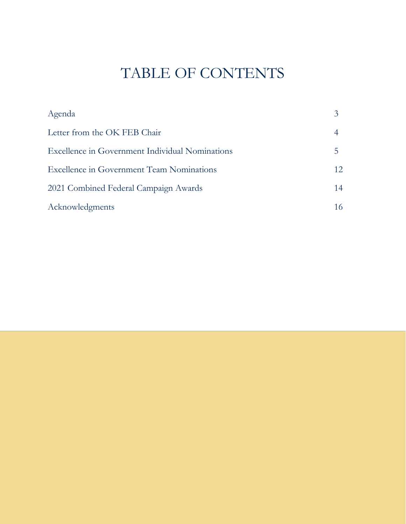# TABLE OF CONTENTS

| Agenda                                          |    |
|-------------------------------------------------|----|
| Letter from the OK FEB Chair                    |    |
| Excellence in Government Individual Nominations |    |
| Excellence in Government Team Nominations       | 12 |
| 2021 Combined Federal Campaign Awards           | 14 |
| Acknowledgments                                 | 16 |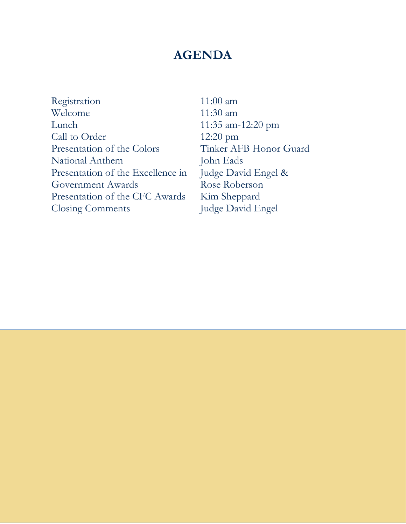## **AGENDA**

- Registration 11:00 am Welcome 11:30 am Lunch 11:35 am-12:20 pm Call to Order 12:20 pm Presentation of the Colors Tinker AFB Honor Guard National Anthem John Eads Presentation of the Excellence in Government Awards Presentation of the CFC Awards Kim Sheppard Closing Comments Judge David Engel
	- Judge David Engel & Rose Roberson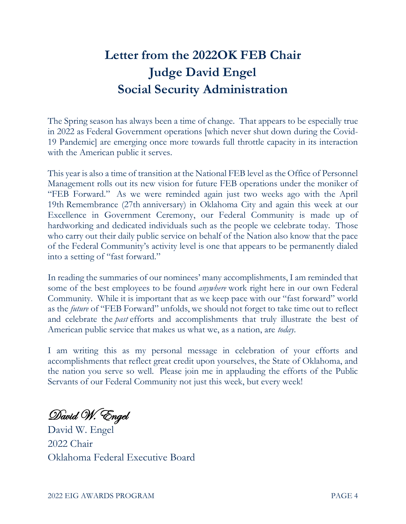# **Letter from the 2022OK FEB Chair Judge David Engel Social Security Administration**

The Spring season has always been a time of change. That appears to be especially true in 2022 as Federal Government operations [which never shut down during the Covid-19 Pandemic] are emerging once more towards full throttle capacity in its interaction with the American public it serves.

This year is also a time of transition at the National FEB level as the Office of Personnel Management rolls out its new vision for future FEB operations under the moniker of "FEB Forward." As we were reminded again just two weeks ago with the April 19th Remembrance (27th anniversary) in Oklahoma City and again this week at our Excellence in Government Ceremony, our Federal Community is made up of hardworking and dedicated individuals such as the people we celebrate today. Those who carry out their daily public service on behalf of the Nation also know that the pace of the Federal Community's activity level is one that appears to be permanently dialed into a setting of "fast forward."

In reading the summaries of our nominees' many accomplishments, I am reminded that some of the best employees to be found *anywhere* work right here in our own Federal Community. While it is important that as we keep pace with our "fast forward" world as the *future* of "FEB Forward" unfolds, we should not forget to take time out to reflect and celebrate the *past* efforts and accomplishments that truly illustrate the best of American public service that makes us what we, as a nation, are *today*.

I am writing this as my personal message in celebration of your efforts and accomplishments that reflect great credit upon yourselves, the State of Oklahoma, and the nation you serve so well. Please join me in applauding the efforts of the Public Servants of our Federal Community not just this week, but every week!

David W. Engel

David W. Engel 2022 Chair Oklahoma Federal Executive Board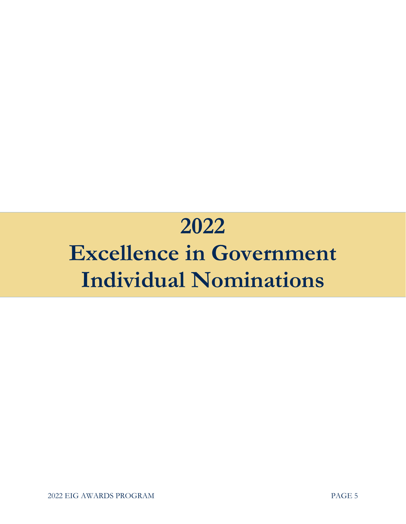# **2022 Excellence in Government Individual Nominations**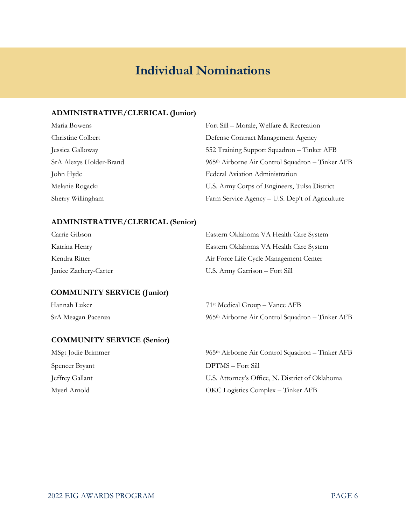#### **ADMINISTRATIVE/CLERICAL (Junior)**

| Maria Bowens            | Fort Sill - Morale, Welfare & Recreation                     |
|-------------------------|--------------------------------------------------------------|
| Christine Colbert       | Defense Contract Management Agency                           |
| Jessica Galloway        | 552 Training Support Squadron - Tinker AFB                   |
| SrA Alexys Holder-Brand | 965 <sup>th</sup> Airborne Air Control Squadron – Tinker AFB |
| John Hyde               | Federal Aviation Administration                              |
| Melanie Rogacki         | U.S. Army Corps of Engineers, Tulsa District                 |
| Sherry Willingham       | Farm Service Agency – U.S. Dep't of Agriculture              |

#### **ADMINISTRATIVE/CLERICAL (Senior)**

| Carrie Gibson         | Eastern Oklahoma VA Health Care System |
|-----------------------|----------------------------------------|
| Katrina Henry         | Eastern Oklahoma VA Health Care System |
| Kendra Ritter         | Air Force Life Cycle Management Center |
| Janice Zachery-Carter | U.S. Army Garrison - Fort Sill         |

#### **COMMUNITY SERVICE (Junior)**

| Hannah Luker       | $71st$ Medical Group – Vance AFB                             |
|--------------------|--------------------------------------------------------------|
| SrA Meagan Pacenza | 965 <sup>th</sup> Airborne Air Control Squadron – Tinker AFB |

#### **COMMUNITY SERVICE (Senior)**

Spencer Bryant DPTMS – Fort Sill

MSgt Jodie Brimmer 965th Airborne Air Control Squadron – Tinker AFB Jeffrey Gallant U.S. Attorney's Office, N. District of Oklahoma Myerl Arnold OKC Logistics Complex – Tinker AFB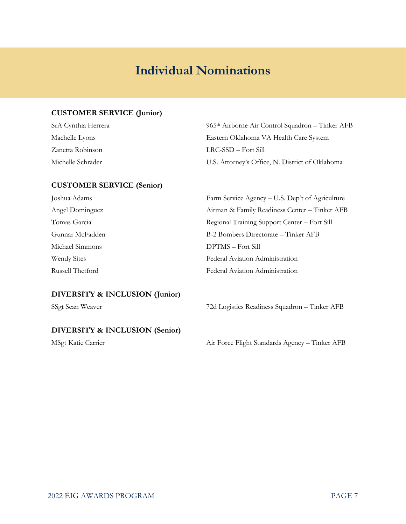#### **CUSTOMER SERVICE (Junior)**

| SrA Cynthia Herrera | 965 <sup>th</sup> Airborne Air Control Squadron - Tinker AFB |
|---------------------|--------------------------------------------------------------|
| Machelle Lyons      | Eastern Oklahoma VA Health Care System                       |
| Zanetta Robinson    | $LRC-SSD - Fort Sill$                                        |
| Michelle Schrader   | U.S. Attorney's Office, N. District of Oklahoma              |

#### **CUSTOMER SERVICE (Senior)**

Michael Simmons DPTMS – Fort Sill

Joshua Adams Farm Service Agency – U.S. Dep't of Agriculture Angel Dominguez Airman & Family Readiness Center – Tinker AFB Tomas Garcia Regional Training Support Center – Fort Sill Gunnar McFadden B-2 Bombers Directorate – Tinker AFB Wendy Sites Federal Aviation Administration Russell Thetford Federal Aviation Administration

#### **DIVERSITY & INCLUSION (Junior)**

SSgt Sean Weaver 72d Logistics Readiness Squadron – Tinker AFB

#### **DIVERSITY & INCLUSION (Senior)**

MSgt Katie Carrier Air Force Flight Standards Agency – Tinker AFB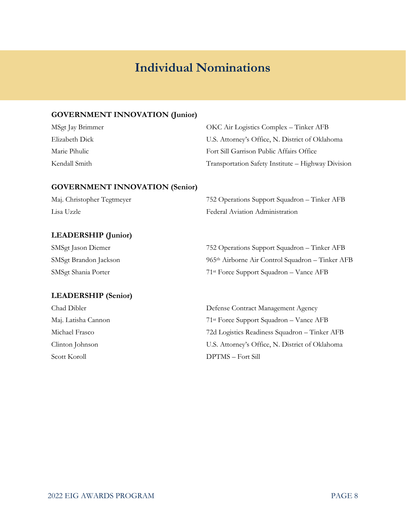#### **GOVERNMENT INNOVATION (Junior)**

| MSgt Jay Brimmer |  |
|------------------|--|
| Elizabeth Dick   |  |
| Marie Pihulic    |  |
| Kendall Smith    |  |

OKC Air Logistics Complex – Tinker AFB U.S. Attorney's Office, N. District of Oklahoma Fort Sill Garrison Public Affairs Office Transportation Safety Institute – Highway Division

#### **GOVERNMENT INNOVATION (Senior)**

Maj. Christopher Tegtmeyer 752 Operations Support Squadron – Tinker AFB Lisa Uzzle Federal Aviation Administration

#### **LEADERSHIP (Junior)**

SMSgt Jason Diemer 752 Operations Support Squadron – Tinker AFB SMSgt Brandon Jackson 965th Airborne Air Control Squadron – Tinker AFB SMSgt Shania Porter 71st Force Support Squadron – Vance AFB

#### **LEADERSHIP (Senior)**

Scott Koroll DPTMS – Fort Sill

Chad Dibler Defense Contract Management Agency Maj. Latisha Cannon 71st Force Support Squadron – Vance AFB Michael Frasco 72d Logistics Readiness Squadron – Tinker AFB Clinton Johnson U.S. Attorney's Office, N. District of Oklahoma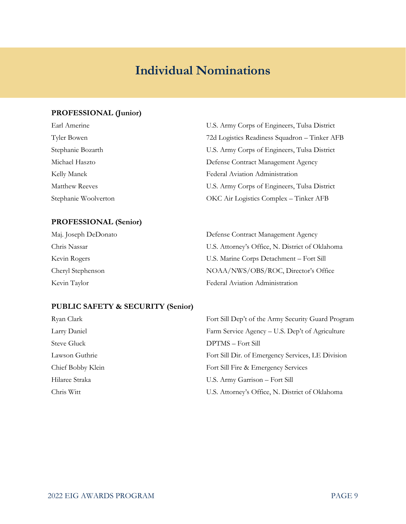#### **PROFESSIONAL (Junior)**

| U.S. Army Corps of Engineers, Tulsa District  |
|-----------------------------------------------|
| 72d Logistics Readiness Squadron - Tinker AFB |
| U.S. Army Corps of Engineers, Tulsa District  |
| Defense Contract Management Agency            |
| Federal Aviation Administration               |
| U.S. Army Corps of Engineers, Tulsa District  |
| OKC Air Logistics Complex - Tinker AFB        |
|                                               |

#### **PROFESSIONAL (Senior)**

| Maj. Joseph DeDonato | Defense Contract Management Agency              |
|----------------------|-------------------------------------------------|
| Chris Nassar         | U.S. Attorney's Office, N. District of Oklahoma |
| Kevin Rogers         | U.S. Marine Corps Detachment - Fort Sill        |
| Cheryl Stephenson    | NOAA/NWS/OBS/ROC, Director's Office             |
| Kevin Taylor         | Federal Aviation Administration                 |

#### **PUBLIC SAFETY & SECURITY (Senior)**

| Ryan Clark         | Fort Sill Dep't of the Army Security Guard Program |
|--------------------|----------------------------------------------------|
| Larry Daniel       | Farm Service Agency – U.S. Dep't of Agriculture    |
| <b>Steve Gluck</b> | DPTMS – Fort Sill                                  |
| Lawson Guthrie     | Fort Sill Dir. of Emergency Services, LE Division  |
| Chief Bobby Klein  | Fort Sill Fire & Emergency Services                |
| Hilaree Straka     | U.S. Army Garrison - Fort Sill                     |
| Chris Witt         | U.S. Attorney's Office, N. District of Oklahoma    |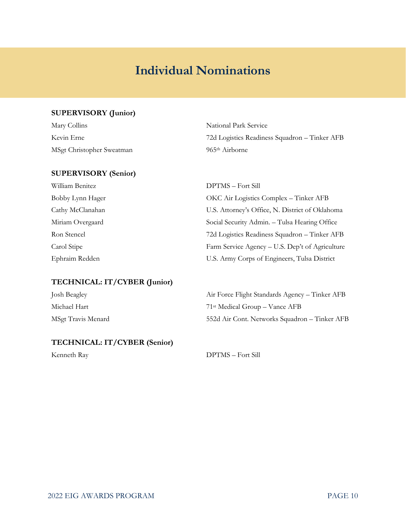#### **SUPERVISORY (Junior)**

| Mary Collins              |
|---------------------------|
| Kevin Erne                |
| MSgt Christopher Sweatman |

Collins National Park Service 72d Logistics Readiness Squadron – Tinker AFB 965<sup>th</sup> Airborne

#### **SUPERVISORY (Senior)**

William Benitez DPTMS – Fort Sill

Bobby Lynn Hager OKC Air Logistics Complex – Tinker AFB Cathy McClanahan U.S. Attorney's Office, N. District of Oklahoma Miriam Overgaard Social Security Admin. – Tulsa Hearing Office Ron Stencel 72d Logistics Readiness Squadron – Tinker AFB Carol Stipe Farm Service Agency – U.S. Dep't of Agriculture Ephraim Redden U.S. Army Corps of Engineers, Tulsa District

#### **TECHNICAL: IT/CYBER (Junior)**

#### **TECHNICAL: IT/CYBER (Senior)**

Josh Beagley Air Force Flight Standards Agency – Tinker AFB Michael Hart 71st Medical Group – Vance AFB MSgt Travis Menard 552d Air Cont. Networks Squadron – Tinker AFB

Kenneth Ray DPTMS – Fort Sill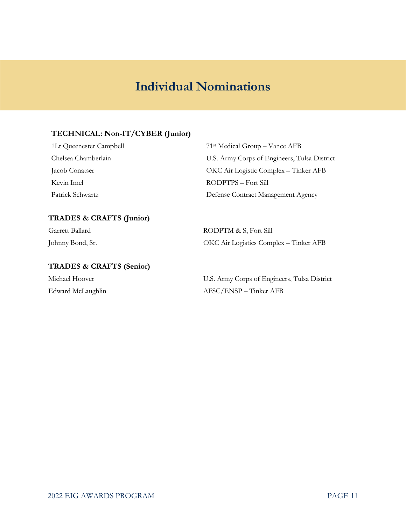#### **TECHNICAL: Non-IT/CYBER (Junior)**

Kevin Imel RODPTPS – Fort Sill

1Lt Queenester Campbell 71st Medical Group – Vance AFB Chelsea Chamberlain U.S. Army Corps of Engineers, Tulsa District Jacob Conatser OKC Air Logistic Complex – Tinker AFB Patrick Schwartz Defense Contract Management Agency

#### **TRADES & CRAFTS (Junior)**

Garrett Ballard RODPTM & S, Fort Sill Johnny Bond, Sr. OKC Air Logistics Complex – Tinker AFB

#### **TRADES & CRAFTS (Senior)**

Edward McLaughlin AFSC/ENSP – Tinker AFB

Michael Hoover U.S. Army Corps of Engineers, Tulsa District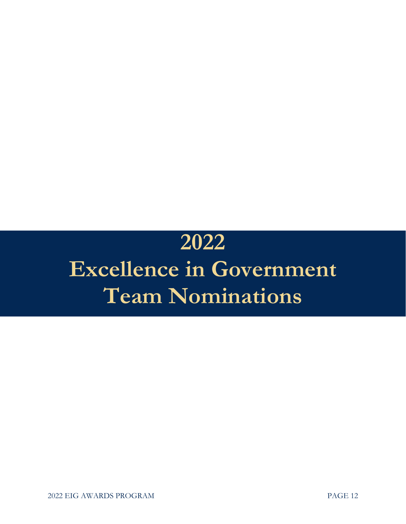# **2022 Excellence in Government Team Nominations**

2022 EIG AWARDS PROGRAM PAGE 12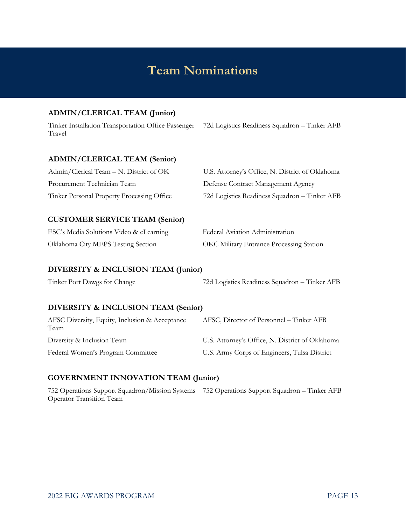# **Team Nominations**

#### **ADMIN/CLERICAL TEAM (Junior)**

Tinker Installation Transportation Office Passenger 72d Logistics Readiness Squadron – Tinker AFB Travel

#### **ADMIN/CLERICAL TEAM (Senior)**

| Admin/Clerical Team – N. District of OK    | U.S. Attorney's Office, N. District of Oklahoma |
|--------------------------------------------|-------------------------------------------------|
| Procurement Technician Team                | Defense Contract Management Agency              |
| Tinker Personal Property Processing Office | 72d Logistics Readiness Squadron - Tinker AFB   |

#### **CUSTOMER SERVICE TEAM (Senior)**

| ESC's Media Solutions Video & eLearning |  |
|-----------------------------------------|--|
| Oklahoma City MEPS Testing Section      |  |

Federal Aviation Administration ty MEPS Testing Section CKC Military Entrance Processing Station

#### **DIVERSITY & INCLUSION TEAM (Junior)**

#### **DIVERSITY & INCLUSION TEAM (Senior)**

| AFSC Diversity, Equity, Inclusion & Acceptance<br>Team | AFSC, Director of Personnel – Tinker AFB        |
|--------------------------------------------------------|-------------------------------------------------|
| Diversity & Inclusion Team                             | U.S. Attorney's Office, N. District of Oklahoma |
| Federal Women's Program Committee                      | U.S. Army Corps of Engineers, Tulsa District    |

#### **GOVERNMENT INNOVATION TEAM (Junior)**

752 Operations Support Squadron/Mission Systems 752 Operations Support Squadron – Tinker AFBOperator Transition Team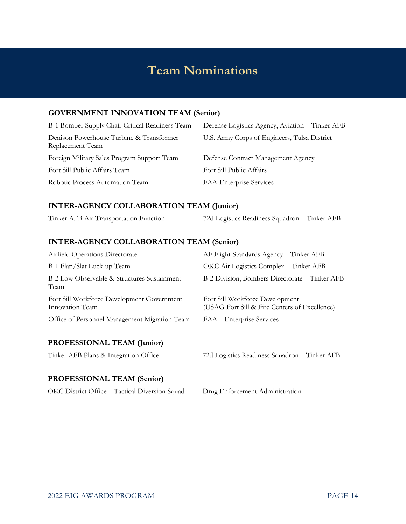# **Team Nominations**

#### **GOVERNMENT INNOVATION TEAM (Senior)**

| B-1 Bomber Supply Chair Critical Readiness Team              | Defense Logistics Agency, Aviation - Tinker AFB |
|--------------------------------------------------------------|-------------------------------------------------|
| Denison Powerhouse Turbine & Transformer<br>Replacement Team | U.S. Army Corps of Engineers, Tulsa District    |
| Foreign Military Sales Program Support Team                  | Defense Contract Management Agency              |
| Fort Sill Public Affairs Team                                | Fort Sill Public Affairs                        |
| Robotic Process Automation Team                              | FAA-Enterprise Services                         |

#### **INTER-AGENCY COLLABORATION TEAM (Junior)**

#### **INTER-AGENCY COLLABORATION TEAM (Senior)**

| Airfield Operations Directorate                               | AF Flight Standards Agency - Tinker AFB                                          |
|---------------------------------------------------------------|----------------------------------------------------------------------------------|
| B-1 Flap/Slat Lock-up Team                                    | OKC Air Logistics Complex - Tinker AFB                                           |
| B-2 Low Observable & Structures Sustainment<br>Team           | B-2 Division, Bombers Directorate – Tinker AFB                                   |
| Fort Sill Workforce Development Government<br>Innovation Team | Fort Sill Workforce Development<br>(USAG Fort Sill & Fire Centers of Excellence) |
| Office of Personnel Management Migration Team                 | FAA – Enterprise Services                                                        |
|                                                               |                                                                                  |

#### **PROFESSIONAL TEAM (Junior)**

```
Tinker AFB Plans & Integration Office 72d Logistics Readiness Squadron – Tinker AFB
```
#### **PROFESSIONAL TEAM (Senior)**

OKC District Office – Tactical Diversion Squad Drug Enforcement Administration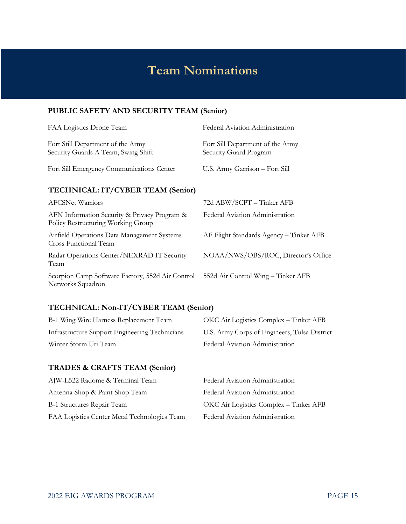# **Team Nominations**

#### **PUBLIC SAFETY AND SECURITY TEAM (Senior)**

| FAA Logistics Drone Team                                                           | Federal Aviation Administration                            |
|------------------------------------------------------------------------------------|------------------------------------------------------------|
| Fort Still Department of the Army<br>Security Guards A Team, Swing Shift           | Fort Sill Department of the Army<br>Security Guard Program |
| Fort Sill Emergency Communications Center                                          | U.S. Army Garrison - Fort Sill                             |
| TECHNICAL: IT/CYBER TEAM (Senior)                                                  |                                                            |
| <b>AFCSNet Warriors</b>                                                            | 72d ABW/SCPT - Tinker AFB                                  |
| AFN Information Security & Privacy Program &<br>Policy Restructuring Working Group | Federal Aviation Administration                            |
| Airfield Operations Data Management Systems<br>Cross Functional Team               | AF Flight Standards Agency - Tinker AFB                    |
| Radar Operations Center/NEXRAD IT Security<br>Team                                 | NOAA/NWS/OBS/ROC, Director's Office                        |
| Scorpion Camp Software Factory, 552d Air Control<br>Networks Squadron              | 552d Air Control Wing - Tinker AFB                         |
|                                                                                    |                                                            |

#### **TECHNICAL: Non-IT/CYBER TEAM (Senior)**

| B-1 Wing Wire Harness Replacement Team                | OKC Air Logistics Complex – Tinker AFB       |
|-------------------------------------------------------|----------------------------------------------|
| <b>Infrastructure Support Engineering Technicians</b> | U.S. Army Corps of Engineers, Tulsa District |
| Winter Storm Uri Team                                 | Federal Aviation Administration              |

#### **TRADES & CRAFTS TEAM (Senior)**

| AJW-L522 Radome & Terminal Team              | Federal Aviation Administration        |
|----------------------------------------------|----------------------------------------|
| Antenna Shop & Paint Shop Team               | Federal Aviation Administration        |
| B-1 Structures Repair Team                   | OKC Air Logistics Complex – Tinker AFB |
| FAA Logistics Center Metal Technologies Team | Federal Aviation Administration        |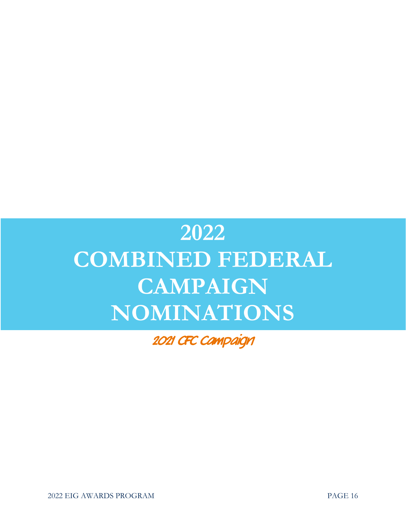# **2022 COMBINED FEDERAL CAMPAIGN NOMINATIONS**

2021 CFC Campaign

2022 EIG AWARDS PROGRAM PAGE 16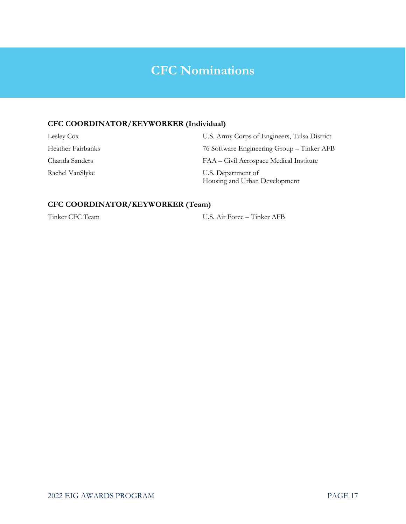# **CFC Nominations**

#### **CFC COORDINATOR/KEYWORKER (Individual)**

| Lesley Cox        | U.S. Army Corps of Engineers, Tulsa District        |
|-------------------|-----------------------------------------------------|
| Heather Fairbanks | 76 Software Engineering Group - Tinker AFB          |
| Chanda Sanders    | FAA – Civil Aerospace Medical Institute             |
| Rachel VanSlyke   | U.S. Department of<br>Housing and Urban Development |

#### **CFC COORDINATOR/KEYWORKER (Team)**

Tinker CFC Team U.S. Air Force – Tinker AFB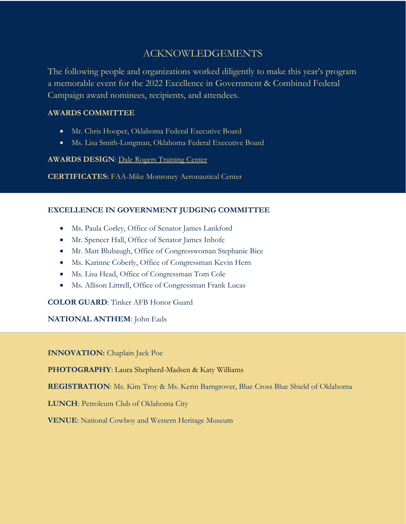#### ACKNOWLEDGEMENTS

The following people and organizations worked diligently to make this year's program a memorable event for the 2022 Excellence in Government & Combined Federal Campaign award nominees, recipients, and attendees.

#### **AWARDS COMMITTEE**

- Mr. Chris Hooper, Oklahoma Federal Executive Board
- Ms. Lisa Smith-Longman, Oklahoma Federal Executive Board

**AWARDS DESIGN**: [Dale Rogers Training Center](https://www.drtc.org/)

**CERTIFICATES:** FAA-Mike Monroney Aeronautical Center

#### **EXCELLENCE IN GOVERNMENT JUDGING COMMITTEE**

- Ms. Paula Corley, Office of Senator James Lankford
- Mr. Spencer Hall, Office of Senator James Inhofe
- Mr. Matt Blubaugh, Office of Congresswoman Stephanie Bice
- Ms. Karinne Coberly, Office of Congressman Kevin Hern
- Ms. Lisa Head, Office of Congressman Tom Cole
- Ms. Allison Littrell, Office of Congressman Frank Lucas

#### **COLOR GUARD**: Tinker AFB Honor Guard

**NATIONAL ANTHEM**: John Eads

**INNOVATION:** Chaplain Jack Poe

**PHOTOGRAPHY**: Laura Shepherd-Madsen & Katy Williams

**REGISTRATION**: Ms. Kim Troy & Ms. Kerin Barngrover, Blue Cross Blue Shield of Oklahoma

**LUNCH**: Petroleum Club of Oklahoma City

**VENUE**: National Cowboy and Western Heritage Museum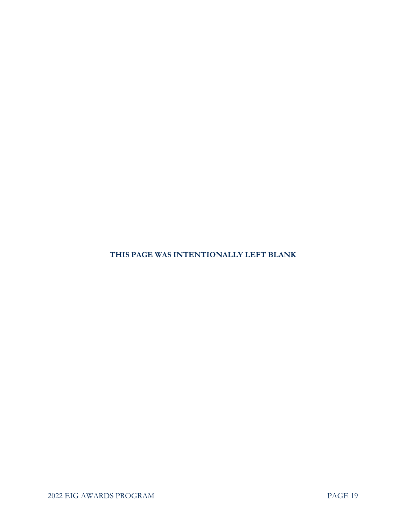**THIS PAGE WAS INTENTIONALLY LEFT BLANK**